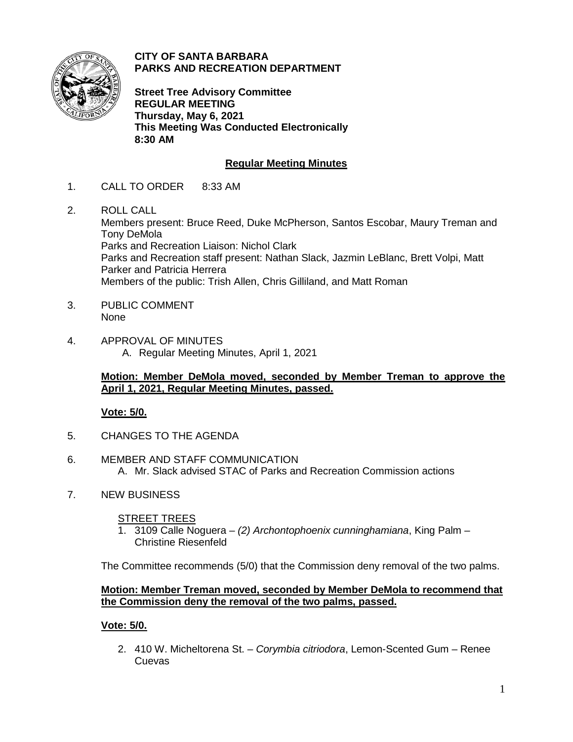

**CITY OF SANTA BARBARA PARKS AND RECREATION DEPARTMENT**

**Street Tree Advisory Committee REGULAR MEETING Thursday, May 6, 2021 This Meeting Was Conducted Electronically 8:30 AM**

# **Regular Meeting Minutes**

- 1. CALL TO ORDER 8:33 AM
- 2. ROLL CALL Members present: Bruce Reed, Duke McPherson, Santos Escobar, Maury Treman and Tony DeMola Parks and Recreation Liaison: Nichol Clark Parks and Recreation staff present: Nathan Slack, Jazmin LeBlanc, Brett Volpi, Matt Parker and Patricia Herrera Members of the public: Trish Allen, Chris Gilliland, and Matt Roman
- 3. PUBLIC COMMENT None
- 4. APPROVAL OF MINUTES A. Regular Meeting Minutes, April 1, 2021

# **Motion: Member DeMola moved, seconded by Member Treman to approve the April 1, 2021, Regular Meeting Minutes, passed.**

# **Vote: 5/0.**

- 5. CHANGES TO THE AGENDA
- 6. MEMBER AND STAFF COMMUNICATION A. Mr. Slack advised STAC of Parks and Recreation Commission actions
- 7. NEW BUSINESS

# **STREET TREES**

1. 3109 Calle Noguera – *(2) Archontophoenix cunninghamiana*, King Palm – Christine Riesenfeld

The Committee recommends (5/0) that the Commission deny removal of the two palms.

# **Motion: Member Treman moved, seconded by Member DeMola to recommend that the Commission deny the removal of the two palms, passed.**

# **Vote: 5/0.**

2. 410 W. Micheltorena St. – *Corymbia citriodora*, Lemon-Scented Gum – Renee Cuevas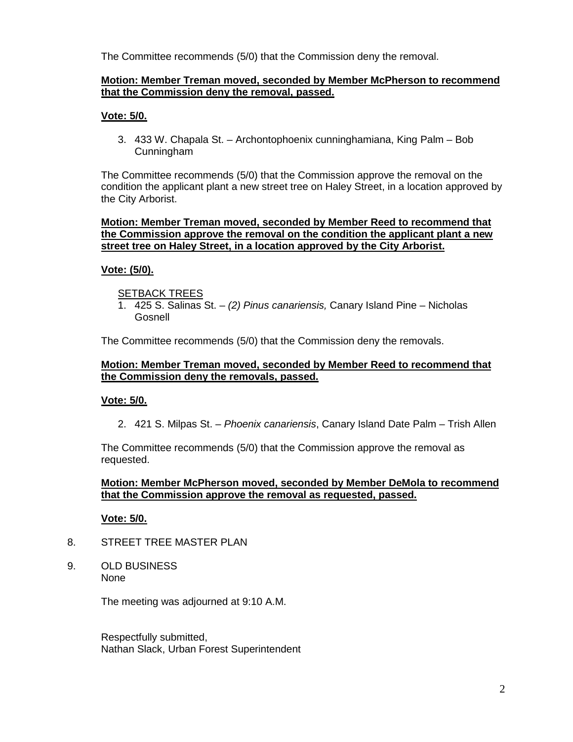The Committee recommends (5/0) that the Commission deny the removal.

### **Motion: Member Treman moved, seconded by Member McPherson to recommend that the Commission deny the removal, passed.**

### **Vote: 5/0.**

3. 433 W. Chapala St. – Archontophoenix cunninghamiana, King Palm – Bob Cunningham

The Committee recommends (5/0) that the Commission approve the removal on the condition the applicant plant a new street tree on Haley Street, in a location approved by the City Arborist.

#### **Motion: Member Treman moved, seconded by Member Reed to recommend that the Commission approve the removal on the condition the applicant plant a new street tree on Haley Street, in a location approved by the City Arborist.**

# **Vote: (5/0).**

### **SETBACK TREES**

1. 425 S. Salinas St. – *(2) Pinus canariensis,* Canary Island Pine – Nicholas Gosnell

The Committee recommends (5/0) that the Commission deny the removals.

### **Motion: Member Treman moved, seconded by Member Reed to recommend that the Commission deny the removals, passed.**

# **Vote: 5/0.**

2. 421 S. Milpas St. – *Phoenix canariensis*, Canary Island Date Palm – Trish Allen

The Committee recommends (5/0) that the Commission approve the removal as requested.

### **Motion: Member McPherson moved, seconded by Member DeMola to recommend that the Commission approve the removal as requested, passed.**

#### **Vote: 5/0.**

- 8. STREET TREE MASTER PLAN
- 9. OLD BUSINESS None

The meeting was adjourned at 9:10 A.M.

Respectfully submitted, Nathan Slack, Urban Forest Superintendent